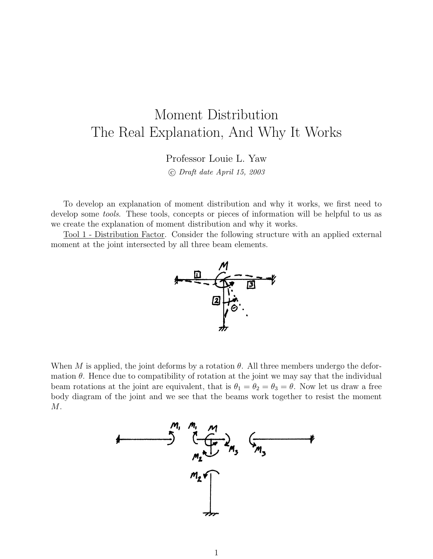## Moment Distribution The Real Explanation, And Why It Works

Professor Louie L. Yaw

c Draft date April 15, 2003

To develop an explanation of moment distribution and why it works, we first need to develop some *tools*. These tools, concepts or pieces of information will be helpful to us as we create the explanation of moment distribution and why it works.

Tool 1 - Distribution Factor. Consider the following structure with an applied external moment at the joint intersected by all three beam elements.



When M is applied, the joint deforms by a rotation  $\theta$ . All three members undergo the deformation  $\theta$ . Hence due to compatibility of rotation at the joint we may say that the individual beam rotations at the joint are equivalent, that is  $\theta_1 = \theta_2 = \theta_3 = \theta$ . Now let us draw a free body diagram of the joint and we see that the beams work together to resist the moment M.

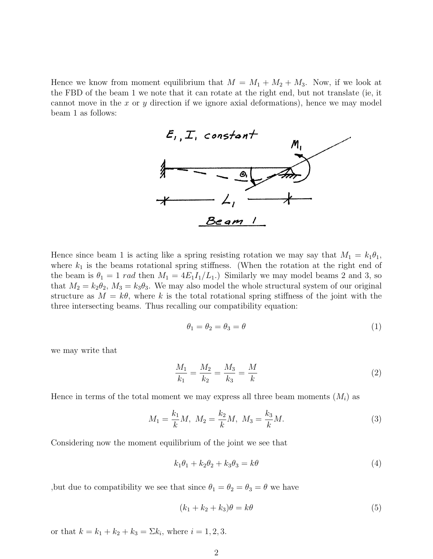Hence we know from moment equilibrium that  $M = M_1 + M_2 + M_3$ . Now, if we look at the FBD of the beam 1 we note that it can rotate at the right end, but not translate (ie, it cannot move in the x or y direction if we ignore axial deformations), hence we may model beam 1 as follows:



Hence since beam 1 is acting like a spring resisting rotation we may say that  $M_1 = k_1 \theta_1$ , where  $k_1$  is the beams rotational spring stiffness. (When the rotation at the right end of the beam is  $\theta_1 = 1$  rad then  $M_1 = 4E_1I_1/L_1$ .) Similarly we may model beams 2 and 3, so that  $M_2 = k_2 \theta_2$ ,  $M_3 = k_3 \theta_3$ . We may also model the whole structural system of our original structure as  $M = k\theta$ , where k is the total rotational spring stiffness of the joint with the three intersecting beams. Thus recalling our compatibility equation:

$$
\theta_1 = \theta_2 = \theta_3 = \theta \tag{1}
$$

we may write that

$$
\frac{M_1}{k_1} = \frac{M_2}{k_2} = \frac{M_3}{k_3} = \frac{M}{k}
$$
\n(2)

Hence in terms of the total moment we may express all three beam moments  $(M_i)$  as

$$
M_1 = \frac{k_1}{k} M, \ M_2 = \frac{k_2}{k} M, \ M_3 = \frac{k_3}{k} M. \tag{3}
$$

Considering now the moment equilibrium of the joint we see that

$$
k_1\theta_1 + k_2\theta_2 + k_3\theta_3 = k\theta \tag{4}
$$

,but due to compatibility we see that since  $\theta_1 = \theta_2 = \theta_3 = \theta$  we have

$$
(k_1 + k_2 + k_3)\theta = k\theta \tag{5}
$$

or that  $k = k_1 + k_2 + k_3 = \sum k_i$ , where  $i = 1, 2, 3$ .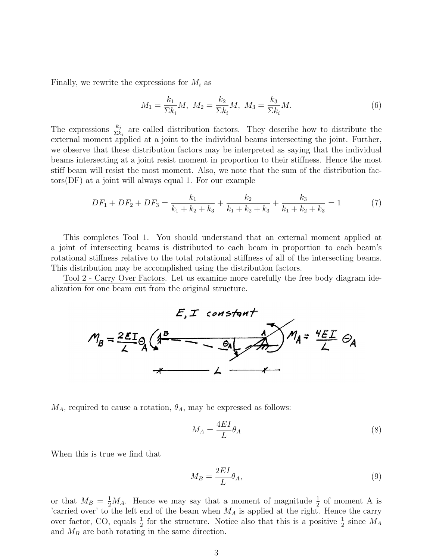Finally, we rewrite the expressions for  $M_i$  as

$$
M_1 = \frac{k_1}{\Sigma k_i} M, \ M_2 = \frac{k_2}{\Sigma k_i} M, \ M_3 = \frac{k_3}{\Sigma k_i} M.
$$
 (6)

The expressions  $\frac{k_j}{\Sigma k_i}$  are called distribution factors. They describe how to distribute the external moment applied at a joint to the individual beams intersecting the joint. Further, we observe that these distribution factors may be interpreted as saying that the individual beams intersecting at a joint resist moment in proportion to their stiffness. Hence the most stiff beam will resist the most moment. Also, we note that the sum of the distribution factors(DF) at a joint will always equal 1. For our example

$$
DF_1 + DF_2 + DF_3 = \frac{k_1}{k_1 + k_2 + k_3} + \frac{k_2}{k_1 + k_2 + k_3} + \frac{k_3}{k_1 + k_2 + k_3} = 1
$$
 (7)

This completes Tool 1. You should understand that an external moment applied at a joint of intersecting beams is distributed to each beam in proportion to each beam's rotational stiffness relative to the total rotational stiffness of all of the intersecting beams. This distribution may be accomplished using the distribution factors.

Tool 2 - Carry Over Factors. Let us examine more carefully the free body diagram idealization for one beam cut from the original structure.



 $M_A$ , required to cause a rotation,  $\theta_A$ , may be expressed as follows:

$$
M_A = \frac{4EI}{L} \theta_A \tag{8}
$$

When this is true we find that

$$
M_B = \frac{2EI}{L} \theta_A,\tag{9}
$$

or that  $M_B = \frac{1}{2}M_A$ . Hence we may say that a moment of magnitude  $\frac{1}{2}$  of moment A is 'carried over' to the left end of the beam when  $M_A$  is applied at the right. Hence the carry over factor, CO, equals  $\frac{1}{2}$  for the structure. Notice also that this is a positive  $\frac{1}{2}$  since  $M_A$ and  $M_B$  are both rotating in the same direction.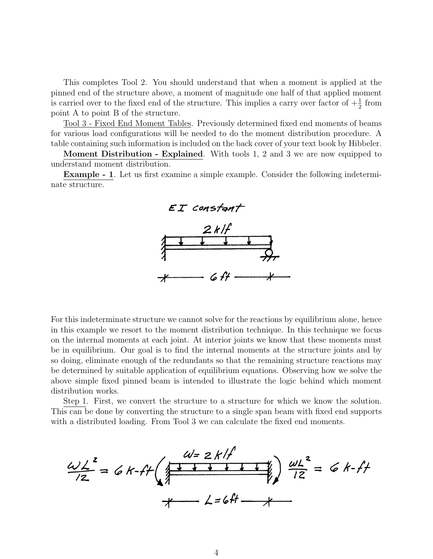This completes Tool 2. You should understand that when a moment is applied at the pinned end of the structure above, a moment of magnitude one half of that applied moment is carried over to the fixed end of the structure. This implies a carry over factor of  $+\frac{1}{2}$  from point A to point B of the structure.

Tool 3 - Fixed End Moment Tables. Previously determined fixed end moments of beams for various load configurations will be needed to do the moment distribution procedure. A table containing such information is included on the back cover of your text book by Hibbeler.

Moment Distribution - Explained. With tools 1, 2 and 3 we are now equipped to understand moment distribution.

Example - 1. Let us first examine a simple example. Consider the following indeterminate structure.



For this indeterminate structure we cannot solve for the reactions by equilibrium alone, hence in this example we resort to the moment distribution technique. In this technique we focus on the internal moments at each joint. At interior joints we know that these moments must be in equilibrium. Our goal is to find the internal moments at the structure joints and by so doing, eliminate enough of the redundants so that the remaining structure reactions may be determined by suitable application of equilibrium equations. Observing how we solve the above simple fixed pinned beam is intended to illustrate the logic behind which moment distribution works.

Step 1. First, we convert the structure to a structure for which we know the solution. This can be done by converting the structure to a single span beam with fixed end supports with a distributed loading. From Tool 3 we can calculate the fixed end moments.

$$
\frac{\omega L^{2}}{12} = 6k\cdot ft \left(\sqrt{\frac{w=2k/f}{12}}\right) \frac{\omega L^{2}}{12} = 6k\cdot ft
$$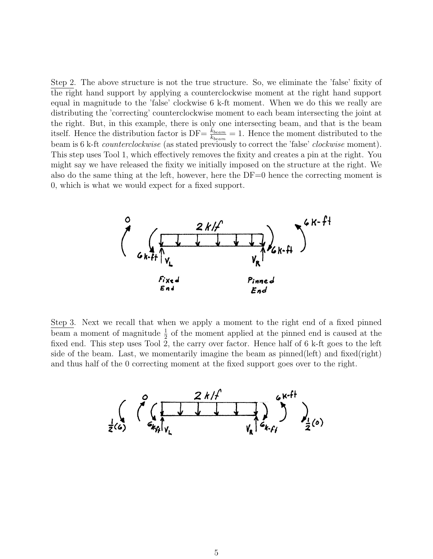Step 2. The above structure is not the true structure. So, we eliminate the 'false' fixity of the right hand support by applying a counterclockwise moment at the right hand support equal in magnitude to the 'false' clockwise 6 k-ft moment. When we do this we really are distributing the 'correcting' counterclockwise moment to each beam intersecting the joint at the right. But, in this example, there is only one intersecting beam, and that is the beam itself. Hence the distribution factor is  $DF = \frac{k_{beam}}{k_{beam}} = 1$ . Hence the moment distributed to the beam is 6 k-ft *counterclockwise* (as stated previously to correct the 'false' *clockwise* moment). This step uses Tool 1, which effectively removes the fixity and creates a pin at the right. You might say we have released the fixity we initially imposed on the structure at the right. We also do the same thing at the left, however, here the DF=0 hence the correcting moment is 0, which is what we would expect for a fixed support.



Step 3. Next we recall that when we apply a moment to the right end of a fixed pinned beam a moment of magnitude  $\frac{1}{2}$  of the moment applied at the pinned end is caused at the fixed end. This step uses Tool 2, the carry over factor. Hence half of 6 k-ft goes to the left side of the beam. Last, we momentarily imagine the beam as pinned(left) and fixed(right) and thus half of the 0 correcting moment at the fixed support goes over to the right.

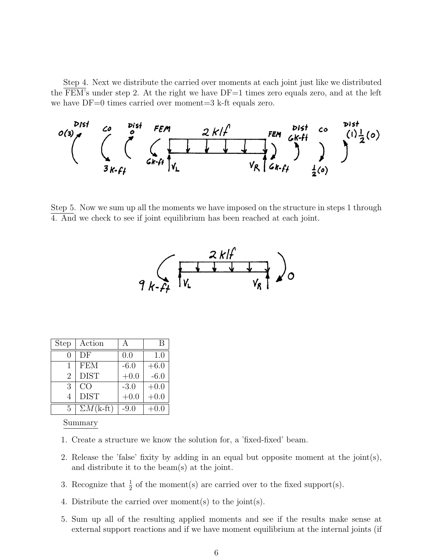Step 4. Next we distribute the carried over moments at each joint just like we distributed the FEM's under step 2. At the right we have  $DF=1$  times zero equals zero, and at the left we have DF=0 times carried over moment=3 k-ft equals zero.



Step 5. Now we sum up all the moments we have imposed on the structure in steps 1 through 4. And we check to see if joint equilibrium has been reached at each joint.



| <b>Step</b>    | Action                  | A      | В      |
|----------------|-------------------------|--------|--------|
| 0              | DF                      | 0.0    | 1.0    |
| 1              | <b>FEM</b>              | $-6.0$ | $+6.0$ |
| $\overline{2}$ | <b>DIST</b>             | $+0.0$ | $-6.0$ |
| 3              | CO                      | $-3.0$ | $+0.0$ |
| 4              | <b>DIST</b>             | $+0.0$ | $+0.0$ |
| 5              | $\Sigma M(k\text{-ft})$ | $-9.0$ | -0.0   |

Summary

- 1. Create a structure we know the solution for, a 'fixed-fixed' beam.
- 2. Release the 'false' fixity by adding in an equal but opposite moment at the joint(s), and distribute it to the beam(s) at the joint.
- 3. Recognize that  $\frac{1}{2}$  of the moment(s) are carried over to the fixed support(s).
- 4. Distribute the carried over moment(s) to the joint(s).
- 5. Sum up all of the resulting applied moments and see if the results make sense at external support reactions and if we have moment equilibrium at the internal joints (if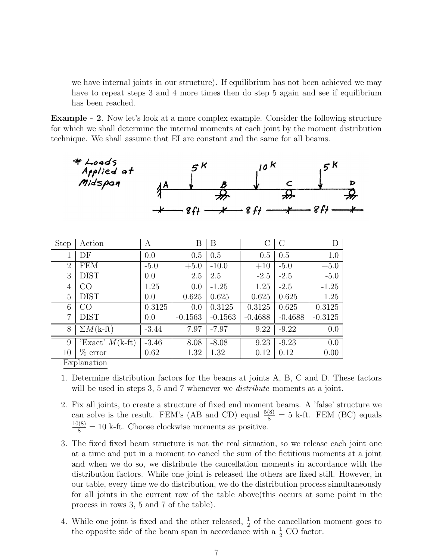we have internal joints in our structure). If equilibrium has not been achieved we may have to repeat steps 3 and 4 more times then do step 5 again and see if equilibrium has been reached.

Example - 2. Now let's look at a more complex example. Consider the following structure for which we shall determine the internal moments at each joint by the moment distribution technique. We shall assume that EI are constant and the same for all beams.

|                          | $*$ Loads<br>Applied at<br>Midspan | <u> AA</u> | 5 K    |         | 10 K<br>8f |        | 5 <sup>K</sup> | D |
|--------------------------|------------------------------------|------------|--------|---------|------------|--------|----------------|---|
| $\overline{\text{Step}}$ | Action                             | А          | Β      | Β       |            |        | I)             |   |
|                          | DF                                 | 0.0        | 0.5    | 0.5     | 0.5        | 0.5    | 1.0            |   |
| $\overline{2}$           | FEM                                | $-5.0$     | $+5.0$ | $-10.0$ | $+10$      | $-5.0$ | $+5.0$         |   |
| -                        | $- - - - -$                        |            |        |         |            |        | ---            |   |

|                | DF                                | 0.0     | 0.5       | 0.5       | 0.5       | 0.5       | 1.0              |
|----------------|-----------------------------------|---------|-----------|-----------|-----------|-----------|------------------|
| $\overline{2}$ | FEM                               | $-5.0$  | $+5.0$    | $-10.0$   | $+10$     | $-5.0$    | $+5.0$           |
| 3              | <b>DIST</b>                       | 0.0     | 2.5       | 2.5       | $-2.5$    | $-2.5$    | $-5.0$           |
| 4              | CO                                | 1.25    | 0.0       | $-1.25$   | 1.25      | $-2.5$    | $-1.25$          |
| 5              | <b>DIST</b>                       | 0.0     | 0.625     | 0.625     | 0.625     | 0.625     | 1.25             |
| 6              | CO                                | 0.3125  | 0.0       | 0.3125    | 0.3125    | 0.625     | 0.3125           |
| 7              | <b>DIST</b>                       | 0.0     | $-0.1563$ | $-0.1563$ | $-0.4688$ | $-0.4688$ | $-0.3125$        |
| 8              | $\overline{\Sigma}M(k\text{-ft})$ | $-3.44$ | 7.97      | $-7.97$   | 9.22      | $-9.22$   | 0.0              |
| 9              | Exact' $M(k\text{-}ft)$           | $-3.46$ | 8.08      | $-8.08$   | 9.23      | $-9.23$   | $\overline{0.0}$ |
| 10             | $%$ error                         | 0.62    | 1.32      | 1.32      | 0.12      | 0.12      | 0.00             |
| Evplanation    |                                   |         |           |           |           |           |                  |

Explanation

- 1. Determine distribution factors for the beams at joints A, B, C and D. These factors will be used in steps 3, 5 and 7 whenever we *distribute* moments at a joint.
- 2. Fix all joints, to create a structure of fixed end moment beams. A 'false' structure we can solve is the result. FEM's (AB and CD) equal  $\frac{5(8)}{8} = 5$  k-ft. FEM (BC) equals  $\frac{10(8)}{8}$  = 10 k-ft. Choose clockwise moments as positive.
- 3. The fixed fixed beam structure is not the real situation, so we release each joint one at a time and put in a moment to cancel the sum of the fictitious moments at a joint and when we do so, we distribute the cancellation moments in accordance with the distribution factors. While one joint is released the others are fixed still. However, in our table, every time we do distribution, we do the distribution process simultaneously for all joints in the current row of the table above(this occurs at some point in the process in rows 3, 5 and 7 of the table).
- 4. While one joint is fixed and the other released,  $\frac{1}{2}$  of the cancellation moment goes to the opposite side of the beam span in accordance with a  $\frac{1}{2}$  CO factor.